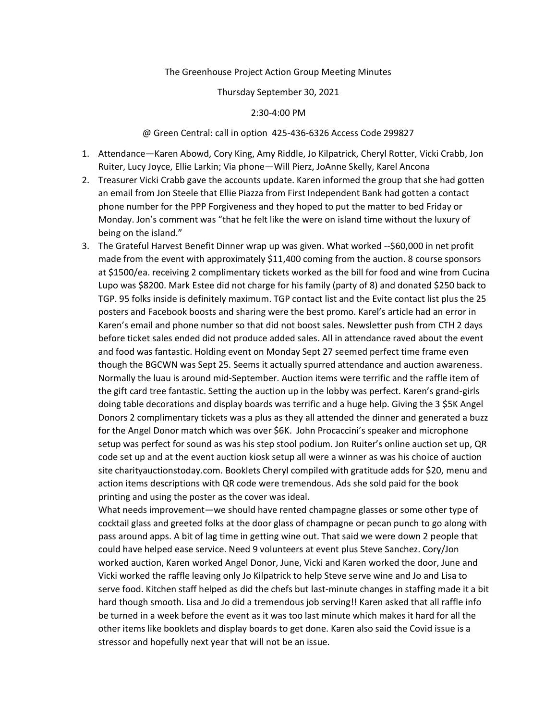## The Greenhouse Project Action Group Meeting Minutes

### Thursday September 30, 2021

### 2:30-4:00 PM

# @ Green Central: call in option 425-436-6326 Access Code 299827

- 1. Attendance—Karen Abowd, Cory King, Amy Riddle, Jo Kilpatrick, Cheryl Rotter, Vicki Crabb, Jon Ruiter, Lucy Joyce, Ellie Larkin; Via phone—Will Pierz, JoAnne Skelly, Karel Ancona
- 2. Treasurer Vicki Crabb gave the accounts update. Karen informed the group that she had gotten an email from Jon Steele that Ellie Piazza from First Independent Bank had gotten a contact phone number for the PPP Forgiveness and they hoped to put the matter to bed Friday or Monday. Jon's comment was "that he felt like the were on island time without the luxury of being on the island."
- 3. The Grateful Harvest Benefit Dinner wrap up was given. What worked --\$60,000 in net profit made from the event with approximately \$11,400 coming from the auction. 8 course sponsors at \$1500/ea. receiving 2 complimentary tickets worked as the bill for food and wine from Cucina Lupo was \$8200. Mark Estee did not charge for his family (party of 8) and donated \$250 back to TGP. 95 folks inside is definitely maximum. TGP contact list and the Evite contact list plus the 25 posters and Facebook boosts and sharing were the best promo. Karel's article had an error in Karen's email and phone number so that did not boost sales. Newsletter push from CTH 2 days before ticket sales ended did not produce added sales. All in attendance raved about the event and food was fantastic. Holding event on Monday Sept 27 seemed perfect time frame even though the BGCWN was Sept 25. Seems it actually spurred attendance and auction awareness. Normally the luau is around mid-September. Auction items were terrific and the raffle item of the gift card tree fantastic. Setting the auction up in the lobby was perfect. Karen's grand-girls doing table decorations and display boards was terrific and a huge help. Giving the 3 \$5K Angel Donors 2 complimentary tickets was a plus as they all attended the dinner and generated a buzz for the Angel Donor match which was over \$6K. John Procaccini's speaker and microphone setup was perfect for sound as was his step stool podium. Jon Ruiter's online auction set up, QR code set up and at the event auction kiosk setup all were a winner as was his choice of auction site charityauctionstoday.com. Booklets Cheryl compiled with gratitude adds for \$20, menu and action items descriptions with QR code were tremendous. Ads she sold paid for the book printing and using the poster as the cover was ideal.

What needs improvement—we should have rented champagne glasses or some other type of cocktail glass and greeted folks at the door glass of champagne or pecan punch to go along with pass around apps. A bit of lag time in getting wine out. That said we were down 2 people that could have helped ease service. Need 9 volunteers at event plus Steve Sanchez. Cory/Jon worked auction, Karen worked Angel Donor, June, Vicki and Karen worked the door, June and Vicki worked the raffle leaving only Jo Kilpatrick to help Steve serve wine and Jo and Lisa to serve food. Kitchen staff helped as did the chefs but last-minute changes in staffing made it a bit hard though smooth. Lisa and Jo did a tremendous job serving!! Karen asked that all raffle info be turned in a week before the event as it was too last minute which makes it hard for all the other items like booklets and display boards to get done. Karen also said the Covid issue is a stressor and hopefully next year that will not be an issue.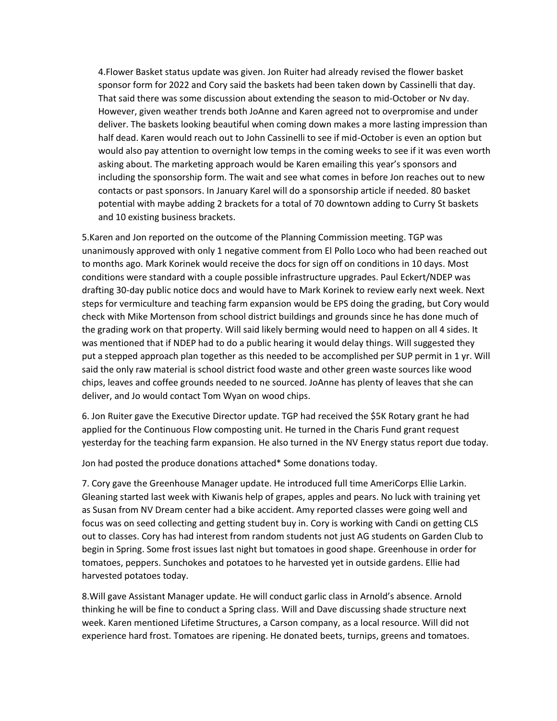4.Flower Basket status update was given. Jon Ruiter had already revised the flower basket sponsor form for 2022 and Cory said the baskets had been taken down by Cassinelli that day. That said there was some discussion about extending the season to mid-October or Nv day. However, given weather trends both JoAnne and Karen agreed not to overpromise and under deliver. The baskets looking beautiful when coming down makes a more lasting impression than half dead. Karen would reach out to John Cassinelli to see if mid-October is even an option but would also pay attention to overnight low temps in the coming weeks to see if it was even worth asking about. The marketing approach would be Karen emailing this year's sponsors and including the sponsorship form. The wait and see what comes in before Jon reaches out to new contacts or past sponsors. In January Karel will do a sponsorship article if needed. 80 basket potential with maybe adding 2 brackets for a total of 70 downtown adding to Curry St baskets and 10 existing business brackets.

5.Karen and Jon reported on the outcome of the Planning Commission meeting. TGP was unanimously approved with only 1 negative comment from El Pollo Loco who had been reached out to months ago. Mark Korinek would receive the docs for sign off on conditions in 10 days. Most conditions were standard with a couple possible infrastructure upgrades. Paul Eckert/NDEP was drafting 30-day public notice docs and would have to Mark Korinek to review early next week. Next steps for vermiculture and teaching farm expansion would be EPS doing the grading, but Cory would check with Mike Mortenson from school district buildings and grounds since he has done much of the grading work on that property. Will said likely berming would need to happen on all 4 sides. It was mentioned that if NDEP had to do a public hearing it would delay things. Will suggested they put a stepped approach plan together as this needed to be accomplished per SUP permit in 1 yr. Will said the only raw material is school district food waste and other green waste sources like wood chips, leaves and coffee grounds needed to ne sourced. JoAnne has plenty of leaves that she can deliver, and Jo would contact Tom Wyan on wood chips.

6. Jon Ruiter gave the Executive Director update. TGP had received the \$5K Rotary grant he had applied for the Continuous Flow composting unit. He turned in the Charis Fund grant request yesterday for the teaching farm expansion. He also turned in the NV Energy status report due today.

Jon had posted the produce donations attached\* Some donations today.

7. Cory gave the Greenhouse Manager update. He introduced full time AmeriCorps Ellie Larkin. Gleaning started last week with Kiwanis help of grapes, apples and pears. No luck with training yet as Susan from NV Dream center had a bike accident. Amy reported classes were going well and focus was on seed collecting and getting student buy in. Cory is working with Candi on getting CLS out to classes. Cory has had interest from random students not just AG students on Garden Club to begin in Spring. Some frost issues last night but tomatoes in good shape. Greenhouse in order for tomatoes, peppers. Sunchokes and potatoes to he harvested yet in outside gardens. Ellie had harvested potatoes today.

8.Will gave Assistant Manager update. He will conduct garlic class in Arnold's absence. Arnold thinking he will be fine to conduct a Spring class. Will and Dave discussing shade structure next week. Karen mentioned Lifetime Structures, a Carson company, as a local resource. Will did not experience hard frost. Tomatoes are ripening. He donated beets, turnips, greens and tomatoes.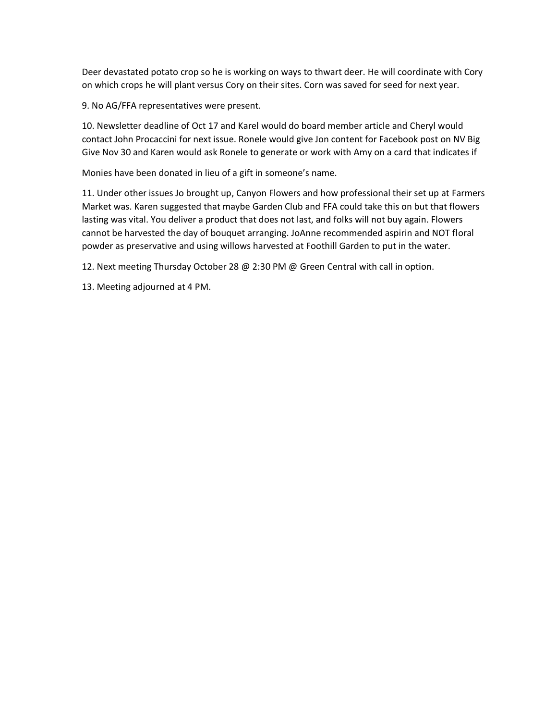Deer devastated potato crop so he is working on ways to thwart deer. He will coordinate with Cory on which crops he will plant versus Cory on their sites. Corn was saved for seed for next year.

9. No AG/FFA representatives were present.

10. Newsletter deadline of Oct 17 and Karel would do board member article and Cheryl would contact John Procaccini for next issue. Ronele would give Jon content for Facebook post on NV Big Give Nov 30 and Karen would ask Ronele to generate or work with Amy on a card that indicates if

Monies have been donated in lieu of a gift in someone's name.

11. Under other issues Jo brought up, Canyon Flowers and how professional their set up at Farmers Market was. Karen suggested that maybe Garden Club and FFA could take this on but that flowers lasting was vital. You deliver a product that does not last, and folks will not buy again. Flowers cannot be harvested the day of bouquet arranging. JoAnne recommended aspirin and NOT floral powder as preservative and using willows harvested at Foothill Garden to put in the water.

12. Next meeting Thursday October 28 @ 2:30 PM @ Green Central with call in option.

13. Meeting adjourned at 4 PM.